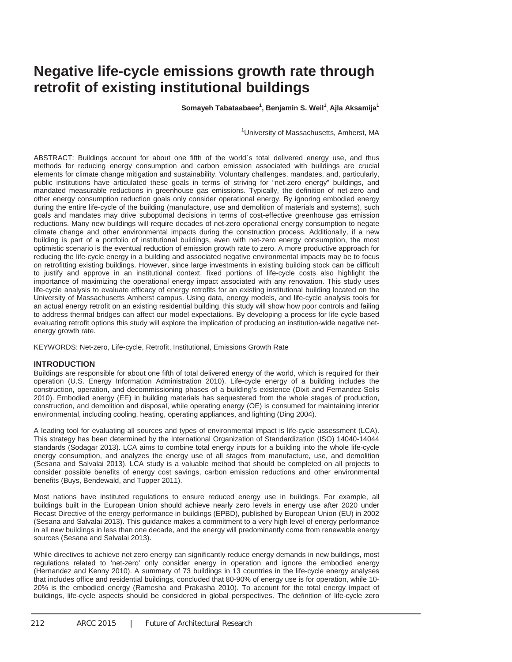# **Negative life-cycle emissions growth rate through retrofit of existing institutional buildings**

**Somayeh Tabataabaee<sup>1</sup> , Benjamin S. Weil1 , Ajla Aksamija1**

<sup>1</sup>University of Massachusetts, Amherst, MA

ABSTRACT: Buildings account for about one fifth of the world`s total delivered energy use, and thus methods for reducing energy consumption and carbon emission associated with buildings are crucial elements for climate change mitigation and sustainability. Voluntary challenges, mandates, and, particularly, public institutions have articulated these goals in terms of striving for "net-zero energy" buildings, and mandated measurable reductions in greenhouse gas emissions. Typically, the definition of net-zero and other energy consumption reduction goals only consider operational energy. By ignoring embodied energy during the entire life-cycle of the building (manufacture, use and demolition of materials and systems), such goals and mandates may drive suboptimal decisions in terms of cost-effective greenhouse gas emission reductions. Many new buildings will require decades of net-zero operational energy consumption to negate climate change and other environmental impacts during the construction process. Additionally, if a new building is part of a portfolio of institutional buildings, even with net-zero energy consumption, the most optimistic scenario is the eventual reduction of emission growth rate to zero. A more productive approach for reducing the life-cycle energy in a building and associated negative environmental impacts may be to focus on retrofitting existing buildings. However, since large investments in existing building stock can be difficult to justify and approve in an institutional context, fixed portions of life-cycle costs also highlight the importance of maximizing the operational energy impact associated with any renovation. This study uses life-cycle analysis to evaluate efficacy of energy retrofits for an existing institutional building located on the University of Massachusetts Amherst campus. Using data, energy models, and life-cycle analysis tools for an actual energy retrofit on an existing residential building, this study will show how poor controls and failing to address thermal bridges can affect our model expectations. By developing a process for life cycle based evaluating retrofit options this study will explore the implication of producing an institution-wide negative netenergy growth rate.

KEYWORDS: Net-zero, Life-cycle, Retrofit, Institutional, Emissions Growth Rate

#### **INTRODUCTION**

Buildings are responsible for about one fifth of total delivered energy of the world, which is required for their operation (U.S. Energy Information Administration 2010). Life-cycle energy of a building includes the construction, operation, and decommissioning phases of a building's existence (Dixit and Fernandez-Solis 2010). Embodied energy (EE) in building materials has sequestered from the whole stages of production, construction, and demolition and disposal, while operating energy (OE) is consumed for maintaining interior environmental, including cooling, heating, operating appliances, and lighting (Ding 2004).

A leading tool for evaluating all sources and types of environmental impact is life-cycle assessment (LCA). This strategy has been determined by the International Organization of Standardization (ISO) 14040-14044 standards (Sodagar 2013). LCA aims to combine total energy inputs for a building into the whole life-cycle energy consumption, and analyzes the energy use of all stages from manufacture, use, and demolition (Sesana and Salvalai 2013). LCA study is a valuable method that should be completed on all projects to consider possible benefits of energy cost savings, carbon emission reductions and other environmental benefits (Buys, Bendewald, and Tupper 2011).

Most nations have instituted regulations to ensure reduced energy use in buildings. For example, all buildings built in the European Union should achieve nearly zero levels in energy use after 2020 under Recast Directive of the energy performance in buildings (EPBD), published by European Union (EU) in 2002 (Sesana and Salvalai 2013). This guidance makes a commitment to a very high level of energy performance in all new buildings in less than one decade, and the energy will predominantly come from renewable energy sources (Sesana and Salvalai 2013).

While directives to achieve net zero energy can significantly reduce energy demands in new buildings, most regulations related to 'net-zero' only consider energy in operation and ignore the embodied energy (Hernandez and Kenny 2010). A summary of 73 buildings in 13 countries in the life-cycle energy analyses that includes office and residential buildings, concluded that 80-90% of energy use is for operation, while 10- 20% is the embodied energy (Ramesha and Prakasha 2010). To account for the total energy impact of buildings, life-cycle aspects should be considered in global perspectives. The definition of life-cycle zero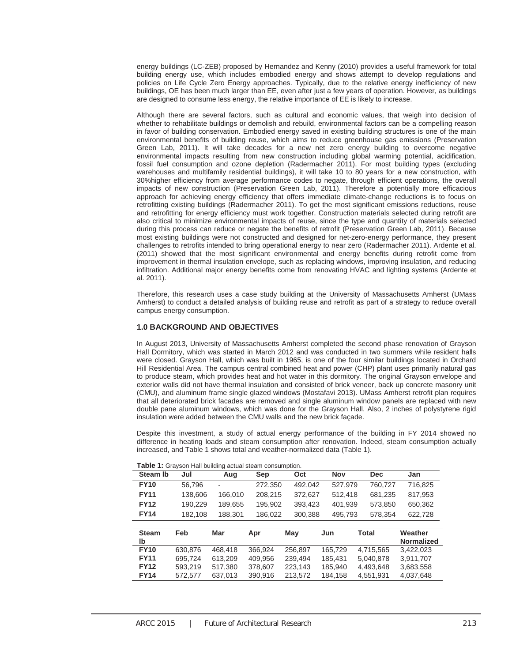energy buildings (LC-ZEB) proposed by Hernandez and Kenny (2010) provides a useful framework for total building energy use, which includes embodied energy and shows attempt to develop regulations and policies on Life Cycle Zero Energy approaches. Typically, due to the relative energy inefficiency of new buildings, OE has been much larger than EE, even after just a few years of operation. However, as buildings are designed to consume less energy, the relative importance of EE is likely to increase.

Although there are several factors, such as cultural and economic values, that weigh into decision of whether to rehabilitate buildings or demolish and rebuild, environmental factors can be a compelling reason in favor of building conservation. Embodied energy saved in existing building structures is one of the main environmental benefits of building reuse, which aims to reduce greenhouse gas emissions (Preservation Green Lab, 2011). It will take decades for a new net zero energy building to overcome negative environmental impacts resulting from new construction including global warming potential, acidification, fossil fuel consumption and ozone depletion (Radermacher 2011). For most building types (excluding warehouses and multifamily residential buildings), it will take 10 to 80 years for a new construction, with 30%higher efficiency from average performance codes to negate, through efficient operations, the overall impacts of new construction (Preservation Green Lab, 2011). Therefore a potentially more efficacious approach for achieving energy efficiency that offers immediate climate-change reductions is to focus on retrofitting existing buildings (Radermacher 2011). To get the most significant emissions reductions, reuse and retrofitting for energy efficiency must work together. Construction materials selected during retrofit are also critical to minimize environmental impacts of reuse, since the type and quantity of materials selected during this process can reduce or negate the benefits of retrofit (Preservation Green Lab, 2011). Because most existing buildings were not constructed and designed for net-zero-energy performance, they present challenges to retrofits intended to bring operational energy to near zero (Radermacher 2011). Ardente et al. (2011) showed that the most significant environmental and energy benefits during retrofit come from improvement in thermal insulation envelope, such as replacing windows, improving insulation, and reducing infiltration. Additional major energy benefits come from renovating HVAC and lighting systems (Ardente et al. 2011).

Therefore, this research uses a case study building at the University of Massachusetts Amherst (UMass Amherst) to conduct a detailed analysis of building reuse and retrofit as part of a strategy to reduce overall campus energy consumption.

#### **1.0 BACKGROUND AND OBJECTIVES**

In August 2013, University of Massachusetts Amherst completed the second phase renovation of Grayson Hall Dormitory, which was started in March 2012 and was conducted in two summers while resident halls were closed. Grayson Hall, which was built in 1965, is one of the four similar buildings located in Orchard Hill Residential Area. The campus central combined heat and power (CHP) plant uses primarily natural gas to produce steam, which provides heat and hot water in this dormitory. The original Grayson envelope and exterior walls did not have thermal insulation and consisted of brick veneer, back up concrete masonry unit (CMU), and aluminum frame single glazed windows (Mostafavi 2013). UMass Amherst retrofit plan requires that all deteriorated brick facades are removed and single aluminum window panels are replaced with new double pane aluminum windows, which was done for the Grayson Hall. Also, 2 inches of polystyrene rigid insulation were added between the CMU walls and the new brick façade.

Despite this investment, a study of actual energy performance of the building in FY 2014 showed no difference in heating loads and steam consumption after renovation. Indeed, steam consumption actually increased, and Table 1 shows total and weather-normalized data (Table 1).

| Table 1: Grayson Hall building actual steam consumption. |         |         |            |         |            |              |                   |
|----------------------------------------------------------|---------|---------|------------|---------|------------|--------------|-------------------|
| <b>Steam Ib</b>                                          | Jul     | Aug     | <b>Sep</b> | Oct     | <b>Nov</b> | <b>Dec</b>   | Jan               |
| <b>FY10</b>                                              | 56.796  |         | 272,350    | 492,042 | 527,979    | 760,727      | 716,825           |
| <b>FY11</b>                                              | 138,606 | 166,010 | 208,215    | 372,627 | 512,418    | 681,235      | 817,953           |
| <b>FY12</b>                                              | 190,229 | 189,655 | 195.902    | 393,423 | 401,939    | 573,850      | 650,362           |
| <b>FY14</b>                                              | 182,108 | 188,301 | 186,022    | 300,388 | 495,793    | 578,354      | 622,728           |
|                                                          |         |         |            |         |            |              |                   |
| <b>Steam</b>                                             | Feb     | Mar     | Apr        | May     | Jun        | <b>Total</b> | Weather           |
| lb                                                       |         |         |            |         |            |              | <b>Normalized</b> |
| <b>FY10</b>                                              | 630.876 | 468.418 | 366,924    | 256.897 | 165,729    | 4,715,565    | 3,422,023         |
| <b>FY11</b>                                              | 695.724 | 613.209 | 409.956    | 239.494 | 185.431    | 5.040.878    | 3.911.707         |
| <b>FY12</b>                                              | 593,219 | 517.380 | 378,607    | 223,143 | 185,940    | 4,493,648    | 3,683,558         |
| <b>FY14</b>                                              | 572.577 | 637.013 | 390.916    | 213.572 | 184.158    | 4.551.931    | 4.037.648         |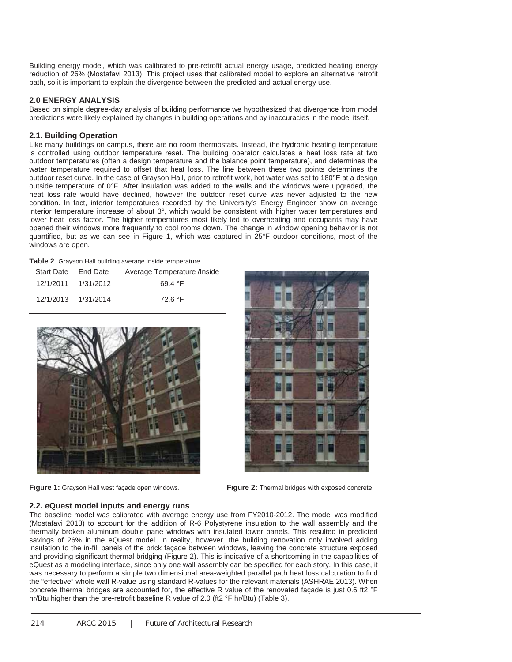Building energy model, which was calibrated to pre-retrofit actual energy usage, predicted heating energy reduction of 26% (Mostafavi 2013). This project uses that calibrated model to explore an alternative retrofit path, so it is important to explain the divergence between the predicted and actual energy use.

### **2.0 ENERGY ANALYSIS**

Based on simple degree-day analysis of building performance we hypothesized that divergence from model predictions were likely explained by changes in building operations and by inaccuracies in the model itself.

### **2.1. Building Operation**

Like many buildings on campus, there are no room thermostats. Instead, the hydronic heating temperature is controlled using outdoor temperature reset. The building operator calculates a heat loss rate at two outdoor temperatures (often a design temperature and the balance point temperature), and determines the water temperature required to offset that heat loss. The line between these two points determines the outdoor reset curve. In the case of Grayson Hall, prior to retrofit work, hot water was set to 180°F at a design outside temperature of 0°F. After insulation was added to the walls and the windows were upgraded, the heat loss rate would have declined, however the outdoor reset curve was never adjusted to the new condition. In fact, interior temperatures recorded by the University's Energy Engineer show an average interior temperature increase of about 3°, which would be consistent with higher water temperatures and lower heat loss factor. The higher temperatures most likely led to overheating and occupants may have opened their windows more frequently to cool rooms down. The change in window opening behavior is not quantified, but as we can see in Figure 1, which was captured in 25°F outdoor conditions, most of the windows are open.

| Start Date End Date |                     | Average Temperature / Inside |  |  |
|---------------------|---------------------|------------------------------|--|--|
|                     | 12/1/2011 1/31/2012 | 69.4 $\degree$ F             |  |  |
| 12/1/2013 1/31/2014 |                     | 72.6 °F                      |  |  |



**Figure 1:** Grayson Hall west façade open windows. **Figure 2:** Thermal bridges with exposed concrete.



#### **2.2. eQuest model inputs and energy runs**

The baseline model was calibrated with average energy use from FY2010-2012. The model was modified (Mostafavi 2013) to account for the addition of R-6 Polystyrene insulation to the wall assembly and the thermally broken aluminum double pane windows with insulated lower panels. This resulted in predicted savings of 26% in the eQuest model. In reality, however, the building renovation only involved adding insulation to the in-fill panels of the brick façade between windows, leaving the concrete structure exposed and providing significant thermal bridging (Figure 2). This is indicative of a shortcoming in the capabilities of eQuest as a modeling interface, since only one wall assembly can be specified for each story. In this case, it was necessary to perform a simple two dimensional area-weighted parallel path heat loss calculation to find the "effective" whole wall R-value using standard R-values for the relevant materials (ASHRAE 2013). When concrete thermal bridges are accounted for, the effective R value of the renovated façade is just 0.6 ft2 °F hr/Btu higher than the pre-retrofit baseline R value of 2.0 (ft2 °F hr/Btu) (Table 3).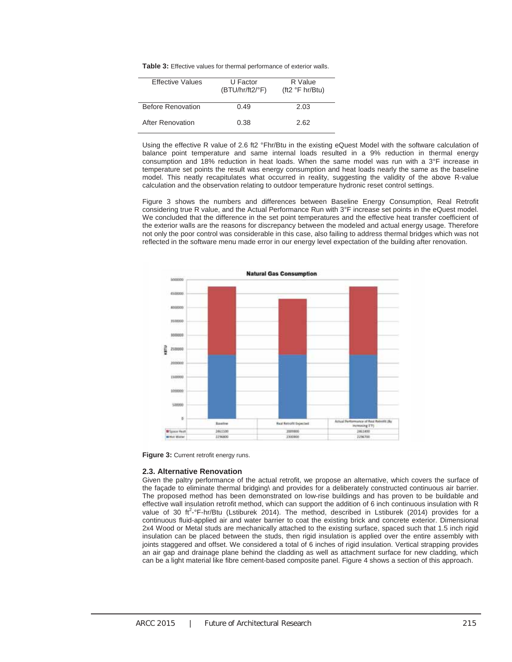**Table 3:** Effective values for thermal performance of exterior walls.

| <b>Effective Values</b> | U Factor<br>$(BTU/hr/ft2/{}^{\circ}F)$ | R Value<br>(ft2 $\degree$ F hr/Btu) |
|-------------------------|----------------------------------------|-------------------------------------|
| Before Renovation       | 0.49                                   | 2.03                                |
| After Renovation        | 0.38                                   | 2.62                                |

Using the effective R value of 2.6 ft2 °Fhr/Btu in the existing eQuest Model with the software calculation of balance point temperature and same internal loads resulted in a 9% reduction in thermal energy consumption and 18% reduction in heat loads. When the same model was run with a 3°F increase in temperature set points the result was energy consumption and heat loads nearly the same as the baseline model. This neatly recapitulates what occurred in reality, suggesting the validity of the above R-value calculation and the observation relating to outdoor temperature hydronic reset control settings.

Figure 3 shows the numbers and differences between Baseline Energy Consumption, Real Retrofit considering true R value, and the Actual Performance Run with 3°F increase set points in the eQuest model. We concluded that the difference in the set point temperatures and the effective heat transfer coefficient of the exterior walls are the reasons for discrepancy between the modeled and actual energy usage. Therefore not only the poor control was considerable in this case, also failing to address thermal bridges which was not reflected in the software menu made error in our energy level expectation of the building after renovation.



**Figure 3:** Current retrofit energy runs.

#### **2.3. Alternative Renovation**

Given the paltry performance of the actual retrofit, we propose an alternative, which covers the surface of the façade to eliminate thermal bridging\ and provides for a deliberately constructed continuous air barrier. The proposed method has been demonstrated on low-rise buildings and has proven to be buildable and effective wall insulation retrofit method, which can support the addition of 6 inch continuous insulation with R value of 30 ft<sup>2</sup>-°F-hr/Btu (Lstiburek 2014). The method, described in Lstiburek (2014) provides for a continuous fluid-applied air and water barrier to coat the existing brick and concrete exterior. Dimensional 2x4 Wood or Metal studs are mechanically attached to the existing surface, spaced such that 1.5 inch rigid insulation can be placed between the studs, then rigid insulation is applied over the entire assembly with joints staggered and offset. We considered a total of 6 inches of rigid insulation. Vertical strapping provides an air gap and drainage plane behind the cladding as well as attachment surface for new cladding, which can be a light material like fibre cement-based composite panel. Figure 4 shows a section of this approach.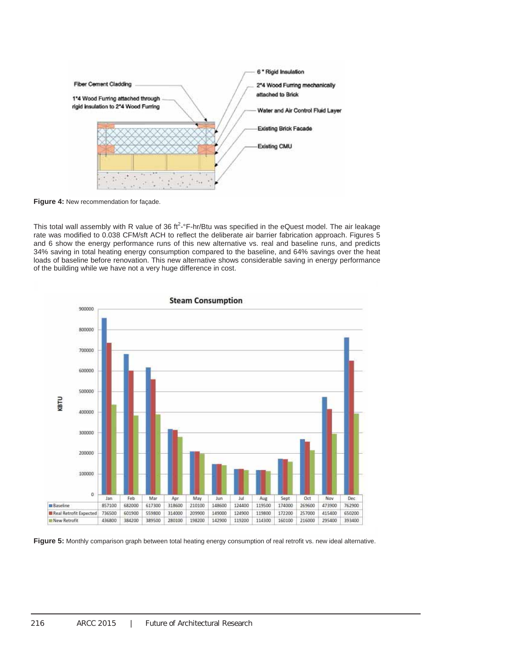

**Figure 4:** New recommendation for façade.

This total wall assembly with R value of 36 ft<sup>2</sup>-°F-hr/Btu was specified in the eQuest model. The air leakage rate was modified to 0.038 CFM/sft ACH to reflect the deliberate air barrier fabrication approach. Figures 5 and 6 show the energy performance runs of this new alternative vs. real and baseline runs, and predicts 34% saving in total heating energy consumption compared to the baseline, and 64% savings over the heat loads of baseline before renovation. This new alternative shows considerable saving in energy performance of the building while we have not a very huge difference in cost.



**Figure 5:** Monthly comparison graph between total heating energy consumption of real retrofit vs. new ideal alternative.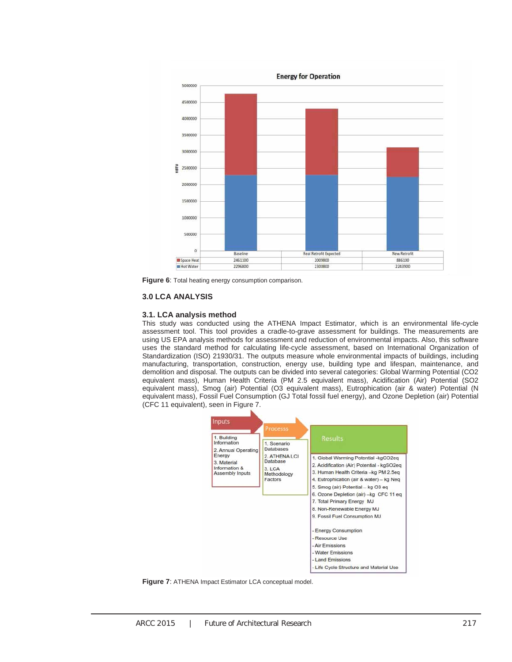

**Figure 6**: Total heating energy consumption comparison.

#### **3.0 LCA ANALYSIS**

#### **3.1. LCA analysis method**

This study was conducted using the ATHENA Impact Estimator, which is an environmental life-cycle assessment tool. This tool provides a cradle-to-grave assessment for buildings. The measurements are using US EPA analysis methods for assessment and reduction of environmental impacts. Also, this software uses the standard method for calculating life-cycle assessment, based on International Organization of Standardization (ISO) 21930/31. The outputs measure whole environmental impacts of buildings, including manufacturing, transportation, construction, energy use, building type and lifespan, maintenance, and demolition and disposal. The outputs can be divided into several categories: Global Warming Potential (CO2 equivalent mass), Human Health Criteria (PM 2.5 equivalent mass), Acidification (Air) Potential (SO2 equivalent mass), Smog (air) Potential (O3 equivalent mass), Eutrophication (air & water) Potential (N equivalent mass), Fossil Fuel Consumption (GJ Total fossil fuel energy), and Ozone Depletion (air) Potential (CFC 11 equivalent), seen in Figure 7.



**Figure 7**: ATHENA Impact Estimator LCA conceptual model.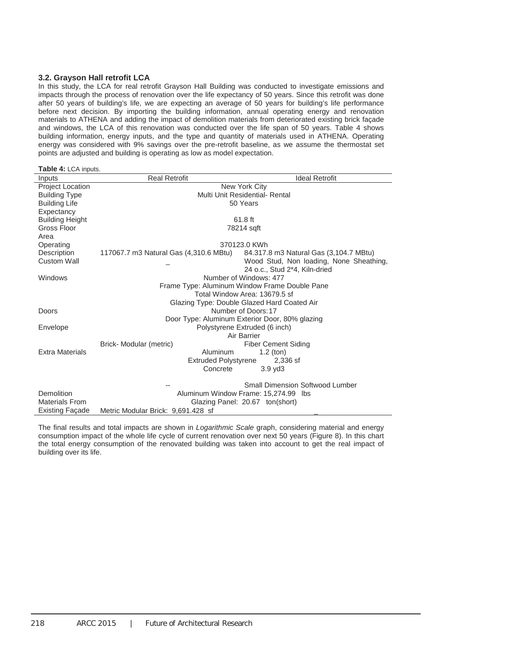## **3.2. Grayson Hall retrofit LCA**

In this study, the LCA for real retrofit Grayson Hall Building was conducted to investigate emissions and impacts through the process of renovation over the life expectancy of 50 years. Since this retrofit was done after 50 years of building's life, we are expecting an average of 50 years for building's life performance before next decision. By importing the building information, annual operating energy and renovation materials to ATHENA and adding the impact of demolition materials from deteriorated existing brick façade and windows, the LCA of this renovation was conducted over the life span of 50 years. Table 4 shows building information, energy inputs, and the type and quantity of materials used in ATHENA. Operating energy was considered with 9% savings over the pre-retrofit baseline, as we assume the thermostat set points are adjusted and building is operating as low as model expectation.

| <b>Table 4: LCA inputs.</b> |  |  |
|-----------------------------|--|--|
|                             |  |  |

| Inputs                  | <b>Real Retrofit</b>                           | <b>Ideal Retrofit</b>                         |  |  |  |
|-------------------------|------------------------------------------------|-----------------------------------------------|--|--|--|
| <b>Project Location</b> | New York City                                  |                                               |  |  |  |
| <b>Building Type</b>    | Multi Unit Residential- Rental                 |                                               |  |  |  |
| <b>Building Life</b>    |                                                | 50 Years                                      |  |  |  |
| Expectancy              |                                                |                                               |  |  |  |
| <b>Building Height</b>  | 61.8 ft                                        |                                               |  |  |  |
| Gross Floor             |                                                | 78214 sqft                                    |  |  |  |
| Area                    |                                                |                                               |  |  |  |
| Operating               |                                                | 370123.0 KWh                                  |  |  |  |
| Description             | 117067.7 m3 Natural Gas (4,310.6 MBtu)         | 84.317.8 m3 Natural Gas (3,104.7 MBtu)        |  |  |  |
| <b>Custom Wall</b>      |                                                | Wood Stud, Non loading, None Sheathing,       |  |  |  |
|                         |                                                | 24 o.c., Stud 2*4, Kiln-dried                 |  |  |  |
| Windows                 |                                                | Number of Windows: 477                        |  |  |  |
|                         |                                                | Frame Type: Aluminum Window Frame Double Pane |  |  |  |
|                         |                                                | Total Window Area: 13679.5 sf                 |  |  |  |
|                         | Glazing Type: Double Glazed Hard Coated Air    |                                               |  |  |  |
| Doors                   | Number of Doors: 17                            |                                               |  |  |  |
|                         | Door Type: Aluminum Exterior Door, 80% glazing |                                               |  |  |  |
| Envelope                | Polystyrene Extruded (6 inch)                  |                                               |  |  |  |
|                         | Air Barrier                                    |                                               |  |  |  |
|                         | Brick-Modular (metric)                         | <b>Fiber Cement Siding</b>                    |  |  |  |
| <b>Extra Materials</b>  | Aluminum                                       | $1.2$ (ton)                                   |  |  |  |
|                         | <b>Extruded Polystyrene</b>                    | 2,336 sf                                      |  |  |  |
|                         | Concrete                                       | $3.9$ $\vee$ d $3$                            |  |  |  |
|                         |                                                |                                               |  |  |  |
|                         |                                                | <b>Small Dimension Softwood Lumber</b>        |  |  |  |
| Demolition              | Aluminum Window Frame: 15,274.99 lbs           |                                               |  |  |  |
| <b>Materials From</b>   | Glazing Panel: 20.67 ton(short)                |                                               |  |  |  |
| <b>Existing Facade</b>  | Metric Modular Brick: 9,691.428 sf             |                                               |  |  |  |

The final results and total impacts are shown in *Logarithmic Scale* graph, considering material and energy consumption impact of the whole life cycle of current renovation over next 50 years (Figure 8). In this chart the total energy consumption of the renovated building was taken into account to get the real impact of building over its life.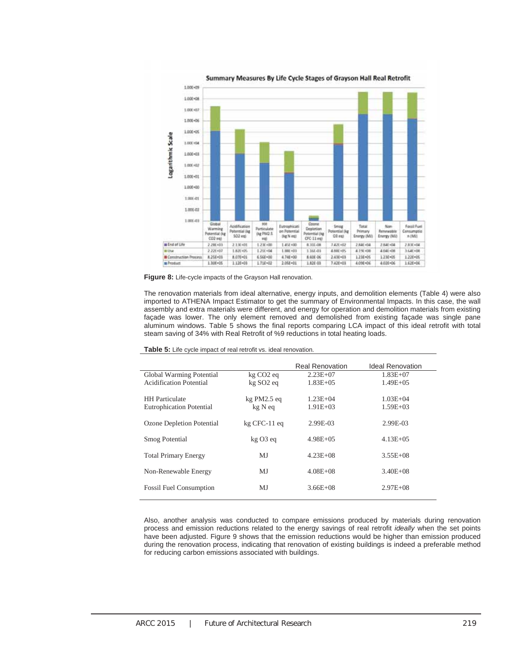



The renovation materials from ideal alternative, energy inputs, and demolition elements (Table 4) were also imported to ATHENA Impact Estimator to get the summary of Environmental Impacts. In this case, the wall assembly and extra materials were different, and energy for operation and demolition materials from existing façade was lower. The only element removed and demolished from existing façade was single pane aluminum windows. Table 5 shows the final reports comparing LCA impact of this ideal retrofit with total steam saving of 34% with Real Retrofit of %9 reductions in total heating loads.

|                                 |                       | <b>Real Renovation</b> | <b>Ideal Renovation</b> |
|---------------------------------|-----------------------|------------------------|-------------------------|
| Global Warming Potential        | kg CO <sub>2</sub> eq | $2.23E+07$             | $1.83E + 07$            |
| Acidification Potential         | kg SO <sub>2</sub> eq | $1.83E + 0.5$          | $1.49E + 0.5$           |
|                                 |                       |                        |                         |
| <b>HH</b> Particulate           | $kg$ PM2.5 eq         | $1.23E + 04$           | $1.03E + 04$            |
| <b>Eutrophication Potential</b> | kg N eq               | $1.91E + 03$           | $1.59E + 03$            |
|                                 |                       |                        |                         |
| Ozone Depletion Potential       | $kg$ CFC-11 $eq$      | 2.99E-03               | 2.99E-03                |
|                                 |                       |                        |                         |
| <b>Smog Potential</b>           | $kg03$ eq             | $4.98E + 0.5$          | $4.13E + 05$            |
|                                 |                       |                        |                         |
| <b>Total Primary Energy</b>     | МJ                    | $4.23E + 08$           | $3.55E + 08$            |
|                                 |                       |                        |                         |
| Non-Renewable Energy            | MJ                    | $4.08E + 08$           | $3.40E + 08$            |
|                                 |                       |                        |                         |
| <b>Fossil Fuel Consumption</b>  | MJ                    | $3.66E + 08$           | $2.97E + 08$            |
|                                 |                       |                        |                         |

Also, another analysis was conducted to compare emissions produced by materials during renovation process and emission reductions related to the energy savings of real retrofit *ideally* when the set points have been adjusted. Figure 9 shows that the emission reductions would be higher than emission produced during the renovation process, indicating that renovation of existing buildings is indeed a preferable method for reducing carbon emissions associated with buildings.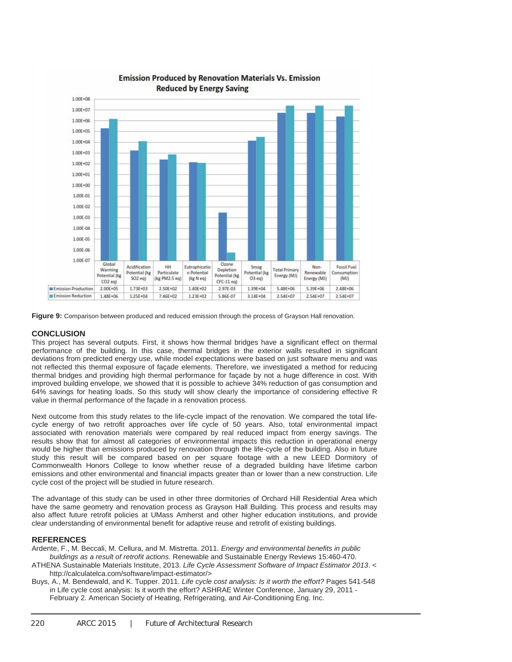

## **Emission Produced by Renovation Materials Vs. Emission Reduced by Energy Saving**

**Figure 9:** Comparison between produced and reduced emission through the process of Grayson Hall renovation.

### **CONCLUSION**

This project has several outputs. First, it shows how thermal bridges have a significant effect on thermal performance of the building. In this case, thermal bridges in the exterior walls resulted in significant deviations from predicted energy use, while model expectations were based on just software menu and was not reflected this thermal exposure of façade elements. Therefore, we investigated a method for reducing thermal bridges and providing high thermal performance for façade by not a huge difference in cost. With improved building envelope, we showed that it is possible to achieve 34% reduction of gas consumption and 64% savings for heating loads. So this study will show clearly the importance of considering effective R value in thermal performance of the façade in a renovation process.

Next outcome from this study relates to the life-cycle impact of the renovation. We compared the total lifecycle energy of two retrofit approaches over life cycle of 50 years. Also, total environmental impact associated with renovation materials were compared by real reduced impact from energy savings. The results show that for almost all categories of environmental impacts this reduction in operational energy would be higher than emissions produced by renovation through the life-cycle of the building. Also in future study this result will be compared based on per square footage with a new LEED Dormitory of Commonwealth Honors College to know whether reuse of a degraded building have lifetime carbon emissions and other environmental and financial impacts greater than or lower than a new construction. Life cycle cost of the project will be studied in future research.

The advantage of this study can be used in other three dormitories of Orchard Hill Residential Area which have the same geometry and renovation process as Grayson Hall Building. This process and results may also affect future retrofit policies at UMass Amherst and other higher education institutions, and provide clear understanding of environmental benefit for adaptive reuse and retrofit of existing buildings.

#### **REFERENCES**

Ardente, F., M. Beccali, M. Cellura, and M. Mistretta. 2011. *Energy and environmental benefits in public buildings as a result of retrofit actions.* Renewable and Sustainable Energy Reviews 15:460-470.

- ATHENA Sustainable Materials Institute, 2013. *Life Cycle Assessment Software of Impact Estimator 2013*. < http://calculatelca.com/software/impact-estimator/>
- Buys, A., M. Bendewald, and K. Tupper. 2011. *Life cycle cost analysis: Is it worth the effort?* Pages 541-548 in Life cycle cost analysis: Is it worth the effort? ASHRAE Winter Conference, January 29, 2011 - February 2. American Society of Heating, Refrigerating, and Air-Conditioning Eng. Inc.